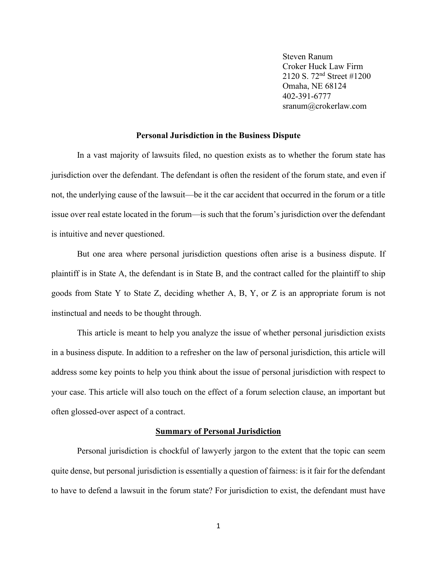Steven Ranum Croker Huck Law Firm 2120 S. 72nd Street #1200 Omaha, NE 68124 402-391-6777 sranum@crokerlaw.com

#### **Personal Jurisdiction in the Business Dispute**

In a vast majority of lawsuits filed, no question exists as to whether the forum state has jurisdiction over the defendant. The defendant is often the resident of the forum state, and even if not, the underlying cause of the lawsuit—be it the car accident that occurred in the forum or a title issue over real estate located in the forum—is such that the forum's jurisdiction over the defendant is intuitive and never questioned.

But one area where personal jurisdiction questions often arise is a business dispute. If plaintiff is in State A, the defendant is in State B, and the contract called for the plaintiff to ship goods from State Y to State Z, deciding whether A, B, Y, or Z is an appropriate forum is not instinctual and needs to be thought through.

This article is meant to help you analyze the issue of whether personal jurisdiction exists in a business dispute. In addition to a refresher on the law of personal jurisdiction, this article will address some key points to help you think about the issue of personal jurisdiction with respect to your case. This article will also touch on the effect of a forum selection clause, an important but often glossed-over aspect of a contract.

#### **Summary of Personal Jurisdiction**

Personal jurisdiction is chockful of lawyerly jargon to the extent that the topic can seem quite dense, but personal jurisdiction is essentially a question of fairness: is it fair for the defendant to have to defend a lawsuit in the forum state? For jurisdiction to exist, the defendant must have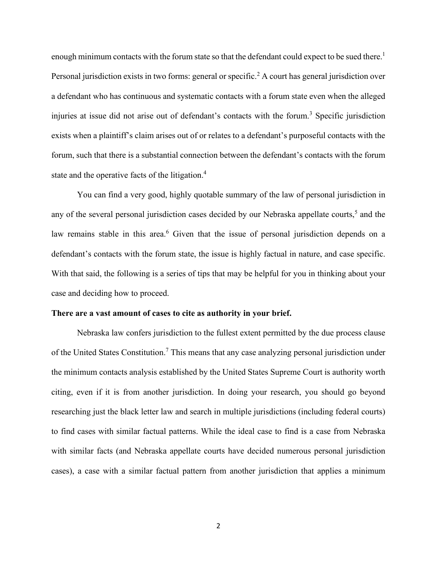enough minimum contacts with the forum state so that the defendant could expect to be sued there.<sup>1</sup> Personal jurisdiction exists in two forms: general or specific.<sup>2</sup> A court has general jurisdiction over a defendant who has continuous and systematic contacts with a forum state even when the alleged injuries at issue did not arise out of defendant's contacts with the forum.<sup>3</sup> Specific jurisdiction exists when a plaintiff's claim arises out of or relates to a defendant's purposeful contacts with the forum, such that there is a substantial connection between the defendant's contacts with the forum state and the operative facts of the litigation.<sup>4</sup>

You can find a very good, highly quotable summary of the law of personal jurisdiction in any of the several personal jurisdiction cases decided by our Nebraska appellate courts,<sup>5</sup> and the law remains stable in this area.<sup>6</sup> Given that the issue of personal jurisdiction depends on a defendant's contacts with the forum state, the issue is highly factual in nature, and case specific. With that said, the following is a series of tips that may be helpful for you in thinking about your case and deciding how to proceed.

#### **There are a vast amount of cases to cite as authority in your brief.**

Nebraska law confers jurisdiction to the fullest extent permitted by the due process clause of the United States Constitution.<sup>7</sup> This means that any case analyzing personal jurisdiction under the minimum contacts analysis established by the United States Supreme Court is authority worth citing, even if it is from another jurisdiction. In doing your research, you should go beyond researching just the black letter law and search in multiple jurisdictions (including federal courts) to find cases with similar factual patterns. While the ideal case to find is a case from Nebraska with similar facts (and Nebraska appellate courts have decided numerous personal jurisdiction cases), a case with a similar factual pattern from another jurisdiction that applies a minimum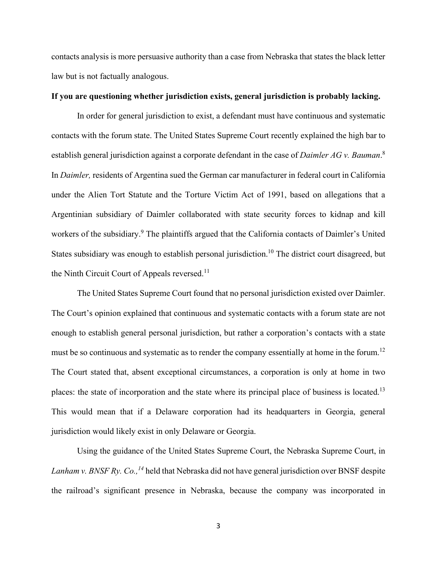contacts analysis is more persuasive authority than a case from Nebraska that states the black letter law but is not factually analogous.

# **If you are questioning whether jurisdiction exists, general jurisdiction is probably lacking.**

In order for general jurisdiction to exist, a defendant must have continuous and systematic contacts with the forum state. The United States Supreme Court recently explained the high bar to establish general jurisdiction against a corporate defendant in the case of *Daimler AG v. Bauman*. 8 In *Daimler,* residents of Argentina sued the German car manufacturer in federal court in California under the Alien Tort Statute and the Torture Victim Act of 1991, based on allegations that a Argentinian subsidiary of Daimler collaborated with state security forces to kidnap and kill workers of the subsidiary.<sup>9</sup> The plaintiffs argued that the California contacts of Daimler's United States subsidiary was enough to establish personal jurisdiction.<sup>10</sup> The district court disagreed, but the Ninth Circuit Court of Appeals reversed.<sup>11</sup>

The United States Supreme Court found that no personal jurisdiction existed over Daimler. The Court's opinion explained that continuous and systematic contacts with a forum state are not enough to establish general personal jurisdiction, but rather a corporation's contacts with a state must be so continuous and systematic as to render the company essentially at home in the forum.<sup>12</sup> The Court stated that, absent exceptional circumstances, a corporation is only at home in two places: the state of incorporation and the state where its principal place of business is located.<sup>13</sup> This would mean that if a Delaware corporation had its headquarters in Georgia, general jurisdiction would likely exist in only Delaware or Georgia.

Using the guidance of the United States Supreme Court, the Nebraska Supreme Court, in *Lanham v. BNSF Ry. Co.,* <sup>14</sup> held that Nebraska did not have general jurisdiction over BNSF despite the railroad's significant presence in Nebraska, because the company was incorporated in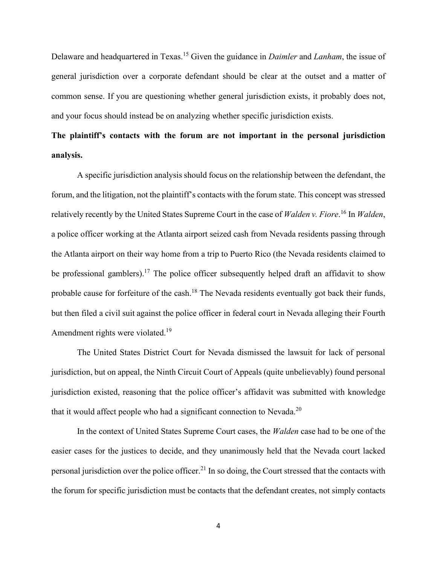Delaware and headquartered in Texas.<sup>15</sup> Given the guidance in *Daimler* and *Lanham*, the issue of general jurisdiction over a corporate defendant should be clear at the outset and a matter of common sense. If you are questioning whether general jurisdiction exists, it probably does not, and your focus should instead be on analyzing whether specific jurisdiction exists.

# **The plaintiff's contacts with the forum are not important in the personal jurisdiction analysis.**

A specific jurisdiction analysis should focus on the relationship between the defendant, the forum, and the litigation, not the plaintiff's contacts with the forum state. This concept was stressed relatively recently by the United States Supreme Court in the case of *Walden v. Fiore*. <sup>16</sup> In *Walden*, a police officer working at the Atlanta airport seized cash from Nevada residents passing through the Atlanta airport on their way home from a trip to Puerto Rico (the Nevada residents claimed to be professional gamblers).<sup>17</sup> The police officer subsequently helped draft an affidavit to show probable cause for forfeiture of the cash.<sup>18</sup> The Nevada residents eventually got back their funds, but then filed a civil suit against the police officer in federal court in Nevada alleging their Fourth Amendment rights were violated.<sup>19</sup>

The United States District Court for Nevada dismissed the lawsuit for lack of personal jurisdiction, but on appeal, the Ninth Circuit Court of Appeals (quite unbelievably) found personal jurisdiction existed, reasoning that the police officer's affidavit was submitted with knowledge that it would affect people who had a significant connection to Nevada.<sup>20</sup>

In the context of United States Supreme Court cases, the *Walden* case had to be one of the easier cases for the justices to decide, and they unanimously held that the Nevada court lacked personal jurisdiction over the police officer.<sup>21</sup> In so doing, the Court stressed that the contacts with the forum for specific jurisdiction must be contacts that the defendant creates, not simply contacts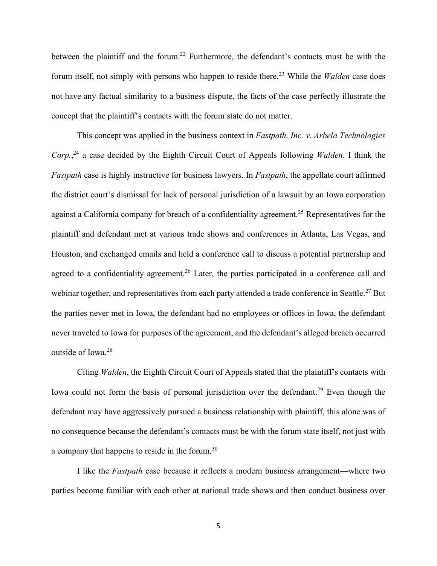between the plaintiff and the forum.<sup>22</sup> Furthermore, the defendant's contacts must be with the forum itself, not simply with persons who happen to reside there.<sup>23</sup> While the *Walden* case does not have any factual similarity to a business dispute, the facts of the case perfectly illustrate the concept that the plaintiff's contacts with the forum state do not matter.

This concept was applied in the business context in *Fastpath, Inc. v. Arbela Technologies Corp.*, <sup>24</sup> a case decided by the Eighth Circuit Court of Appeals following *Walden*. I think the *Fastpath* case is highly instructive for business lawyers. In *Fastpath*, the appellate court affirmed the district court's dismissal for lack of personal jurisdiction of a lawsuit by an Iowa corporation against a California company for breach of a confidentiality agreement.<sup>25</sup> Representatives for the plaintiff and defendant met at various trade shows and conferences in Atlanta, Las Vegas, and Houston, and exchanged emails and held a conference call to discuss a potential partnership and agreed to a confidentiality agreement.<sup>26</sup> Later, the parties participated in a conference call and webinar together, and representatives from each party attended a trade conference in Seattle.<sup>27</sup> But the parties never met in Iowa, the defendant had no employees or offices in Iowa, the defendant never traveled to Iowa for purposes of the agreement, and the defendant's alleged breach occurred outside of Iowa.<sup>28</sup>

Citing *Walden*, the Eighth Circuit Court of Appeals stated that the plaintiff's contacts with Iowa could not form the basis of personal jurisdiction over the defendant.<sup>29</sup> Even though the defendant may have aggressively pursued a business relationship with plaintiff, this alone was of no consequence because the defendant's contacts must be with the forum state itself, not just with a company that happens to reside in the forum.<sup>30</sup>

I like the *Fastpath* case because it reflects a modern business arrangement—where two parties become familiar with each other at national trade shows and then conduct business over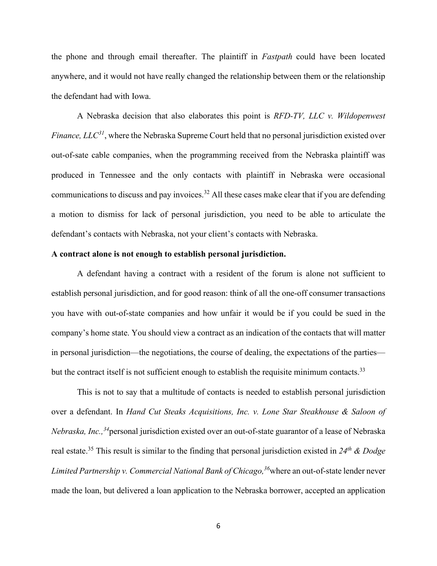the phone and through email thereafter. The plaintiff in *Fastpath* could have been located anywhere, and it would not have really changed the relationship between them or the relationship the defendant had with Iowa.

A Nebraska decision that also elaborates this point is *RFD-TV, LLC v. Wildopenwest Finance, LLC<sup>31</sup>*, where the Nebraska Supreme Court held that no personal jurisdiction existed over out-of-sate cable companies, when the programming received from the Nebraska plaintiff was produced in Tennessee and the only contacts with plaintiff in Nebraska were occasional communications to discuss and pay invoices.<sup>32</sup> All these cases make clear that if you are defending a motion to dismiss for lack of personal jurisdiction, you need to be able to articulate the defendant's contacts with Nebraska, not your client's contacts with Nebraska.

# **A contract alone is not enough to establish personal jurisdiction.**

A defendant having a contract with a resident of the forum is alone not sufficient to establish personal jurisdiction, and for good reason: think of all the one-off consumer transactions you have with out-of-state companies and how unfair it would be if you could be sued in the company's home state. You should view a contract as an indication of the contacts that will matter in personal jurisdiction—the negotiations, the course of dealing, the expectations of the parties but the contract itself is not sufficient enough to establish the requisite minimum contacts.<sup>33</sup>

This is not to say that a multitude of contacts is needed to establish personal jurisdiction over a defendant. In *Hand Cut Steaks Acquisitions, Inc. v. Lone Star Steakhouse & Saloon of Nebraska, Inc.,<sup>34</sup>*personal jurisdiction existed over an out-of-state guarantor of a lease of Nebraska real estate. <sup>35</sup> This result is similar to the finding that personal jurisdiction existed in *24th & Dodge Limited Partnership v. Commercial National Bank of Chicago*,<sup>36</sup>where an out-of-state lender never made the loan, but delivered a loan application to the Nebraska borrower, accepted an application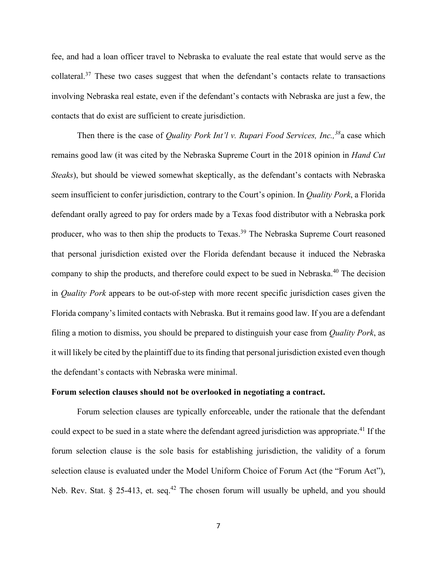fee, and had a loan officer travel to Nebraska to evaluate the real estate that would serve as the collateral.<sup>37</sup> These two cases suggest that when the defendant's contacts relate to transactions involving Nebraska real estate, even if the defendant's contacts with Nebraska are just a few, the contacts that do exist are sufficient to create jurisdiction.

Then there is the case of *Quality Pork Int'l v. Rupari Food Services, Inc.,<sup>38</sup>*a case which remains good law (it was cited by the Nebraska Supreme Court in the 2018 opinion in *Hand Cut Steaks*), but should be viewed somewhat skeptically, as the defendant's contacts with Nebraska seem insufficient to confer jurisdiction, contrary to the Court's opinion. In *Quality Pork*, a Florida defendant orally agreed to pay for orders made by a Texas food distributor with a Nebraska pork producer, who was to then ship the products to Texas.<sup>39</sup> The Nebraska Supreme Court reasoned that personal jurisdiction existed over the Florida defendant because it induced the Nebraska company to ship the products, and therefore could expect to be sued in Nebraska.<sup>40</sup> The decision in *Quality Pork* appears to be out-of-step with more recent specific jurisdiction cases given the Florida company's limited contacts with Nebraska. But it remains good law. If you are a defendant filing a motion to dismiss, you should be prepared to distinguish your case from *Quality Pork*, as it will likely be cited by the plaintiff due to its finding that personal jurisdiction existed even though the defendant's contacts with Nebraska were minimal.

#### **Forum selection clauses should not be overlooked in negotiating a contract.**

Forum selection clauses are typically enforceable, under the rationale that the defendant could expect to be sued in a state where the defendant agreed jurisdiction was appropriate.<sup>41</sup> If the forum selection clause is the sole basis for establishing jurisdiction, the validity of a forum selection clause is evaluated under the Model Uniform Choice of Forum Act (the "Forum Act"), Neb. Rev. Stat. § 25-413, et. seq.<sup>42</sup> The chosen forum will usually be upheld, and you should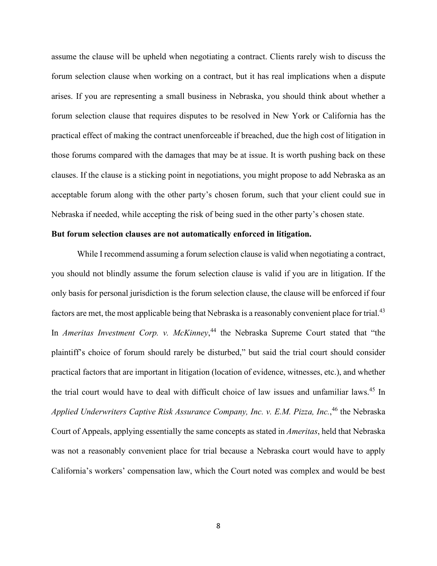assume the clause will be upheld when negotiating a contract. Clients rarely wish to discuss the forum selection clause when working on a contract, but it has real implications when a dispute arises. If you are representing a small business in Nebraska, you should think about whether a forum selection clause that requires disputes to be resolved in New York or California has the practical effect of making the contract unenforceable if breached, due the high cost of litigation in those forums compared with the damages that may be at issue. It is worth pushing back on these clauses. If the clause is a sticking point in negotiations, you might propose to add Nebraska as an acceptable forum along with the other party's chosen forum, such that your client could sue in Nebraska if needed, while accepting the risk of being sued in the other party's chosen state.

# **But forum selection clauses are not automatically enforced in litigation.**

While I recommend assuming a forum selection clause is valid when negotiating a contract, you should not blindly assume the forum selection clause is valid if you are in litigation. If the only basis for personal jurisdiction is the forum selection clause, the clause will be enforced if four factors are met, the most applicable being that Nebraska is a reasonably convenient place for trial.<sup>43</sup> In *Ameritas Investment Corp. v. McKinney*, <sup>44</sup> the Nebraska Supreme Court stated that "the plaintiff's choice of forum should rarely be disturbed," but said the trial court should consider practical factors that are important in litigation (location of evidence, witnesses, etc.), and whether the trial court would have to deal with difficult choice of law issues and unfamiliar laws.<sup>45</sup> In Applied Underwriters Captive Risk Assurance Company, Inc. v. E.M. Pizza, Inc.,<sup>46</sup> the Nebraska Court of Appeals, applying essentially the same concepts as stated in *Ameritas*, held that Nebraska was not a reasonably convenient place for trial because a Nebraska court would have to apply California's workers' compensation law, which the Court noted was complex and would be best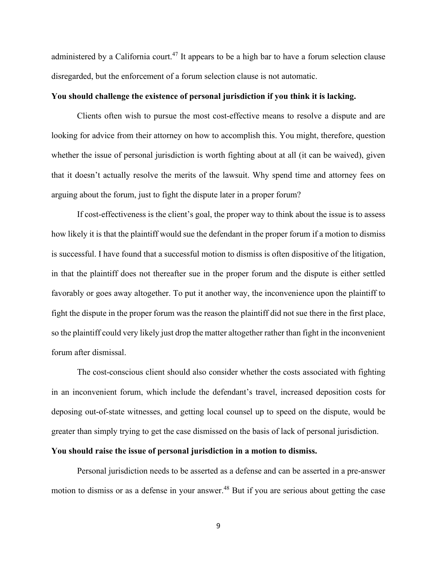administered by a California court.<sup>47</sup> It appears to be a high bar to have a forum selection clause disregarded, but the enforcement of a forum selection clause is not automatic.

# **You should challenge the existence of personal jurisdiction if you think it is lacking.**

Clients often wish to pursue the most cost-effective means to resolve a dispute and are looking for advice from their attorney on how to accomplish this. You might, therefore, question whether the issue of personal jurisdiction is worth fighting about at all (it can be waived), given that it doesn't actually resolve the merits of the lawsuit. Why spend time and attorney fees on arguing about the forum, just to fight the dispute later in a proper forum?

If cost-effectiveness is the client's goal, the proper way to think about the issue is to assess how likely it is that the plaintiff would sue the defendant in the proper forum if a motion to dismiss is successful. I have found that a successful motion to dismiss is often dispositive of the litigation, in that the plaintiff does not thereafter sue in the proper forum and the dispute is either settled favorably or goes away altogether. To put it another way, the inconvenience upon the plaintiff to fight the dispute in the proper forum was the reason the plaintiff did not sue there in the first place, so the plaintiff could very likely just drop the matter altogether rather than fight in the inconvenient forum after dismissal.

The cost-conscious client should also consider whether the costs associated with fighting in an inconvenient forum, which include the defendant's travel, increased deposition costs for deposing out-of-state witnesses, and getting local counsel up to speed on the dispute, would be greater than simply trying to get the case dismissed on the basis of lack of personal jurisdiction.

### **You should raise the issue of personal jurisdiction in a motion to dismiss.**

Personal jurisdiction needs to be asserted as a defense and can be asserted in a pre-answer motion to dismiss or as a defense in your answer.<sup>48</sup> But if you are serious about getting the case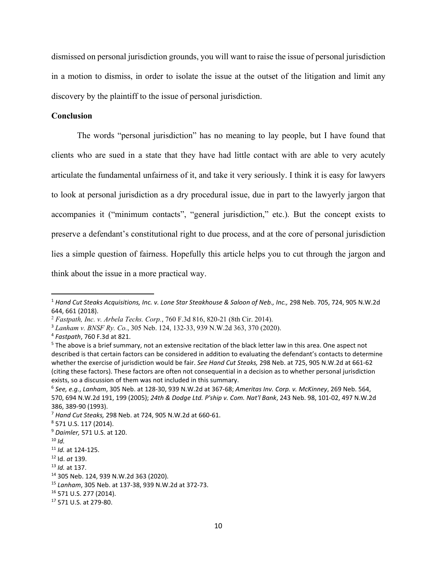dismissed on personal jurisdiction grounds, you will want to raise the issue of personal jurisdiction in a motion to dismiss, in order to isolate the issue at the outset of the litigation and limit any discovery by the plaintiff to the issue of personal jurisdiction.

# **Conclusion**

The words "personal jurisdiction" has no meaning to lay people, but I have found that clients who are sued in a state that they have had little contact with are able to very acutely articulate the fundamental unfairness of it, and take it very seriously. I think it is easy for lawyers to look at personal jurisdiction as a dry procedural issue, due in part to the lawyerly jargon that accompanies it ("minimum contacts", "general jurisdiction," etc.). But the concept exists to preserve a defendant's constitutional right to due process, and at the core of personal jurisdiction lies a simple question of fairness. Hopefully this article helps you to cut through the jargon and think about the issue in a more practical way.

<sup>&</sup>lt;sup>1</sup> Hand Cut Steaks Acquisitions, Inc. v. Lone Star Steakhouse & Saloon of Neb., Inc., 298 Neb. 705, 724, 905 N.W.2d 644, 661 (2018).

<sup>2</sup> *Fastpath, Inc. v. Arbela Techs. Corp.*, 760 F.3d 816, 820-21 (8th Cir. 2014).

<sup>3</sup> *Lanham v. BNSF Ry. Co.*, 305 Neb. 124, 132-33, 939 N.W.2d 363, 370 (2020).

<sup>4</sup> *Fastpath*, 760 F.3d at 821.

<sup>5</sup> The above is a brief summary, not an extensive recitation of the black letter law in this area. One aspect not described is that certain factors can be considered in addition to evaluating the defendant's contacts to determine whether the exercise of jurisdiction would be fair. *See Hand Cut Steaks,* 298 Neb. at 725, 905 N.W.2d at 661-62 (citing these factors). These factors are often not consequential in a decision as to whether personal jurisdiction exists, so a discussion of them was not included in this summary.

<sup>6</sup> *See, e.g.*, *Lanham*, 305 Neb. at 128-30, 939 N.W.2d at 367-68; *Ameritas Inv. Corp. v. McKinney*, 269 Neb. 564, 570, 694 N.W.2d 191, 199 (2005); *24th & Dodge Ltd. P'ship v. Com. Nat'l Bank*, 243 Neb. 98, 101-02, 497 N.W.2d 386, 389-90 (1993).

<sup>&</sup>lt;sup>7</sup> Hand Cut Steaks, 298 Neb. at 724, 905 N.W.2d at 660-61.<br><sup>8</sup> 571 U.S. 117 (2014).

<sup>9</sup> *Daimler,* 571 U.S. at 120. 10 *Id.*

<sup>&</sup>lt;sup>11</sup> *Id.* at 124-125.<br><sup>12</sup> Id. *at* 139.<br><sup>13</sup> *Id.* at 137.<br><sup>14</sup> 305 Neb. 124, 939 N.W.2d 363 (2020).

<sup>&</sup>lt;sup>15</sup> *Lanham*, 305 Neb. at 137-38, 939 N.W.2d at 372-73.<br><sup>16</sup> 571 U.S. 277 (2014).

<sup>17</sup> 571 U.S. at 279-80.